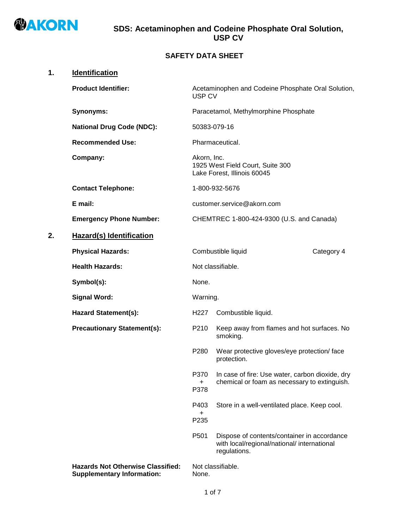

## **SAFETY DATA SHEET**

# **1. Identification**

|    | <b>Product Identifier:</b>                                                    | USP CV                | Acetaminophen and Codeine Phosphate Oral Solution,                                                         |            |
|----|-------------------------------------------------------------------------------|-----------------------|------------------------------------------------------------------------------------------------------------|------------|
|    | <b>Synonyms:</b>                                                              |                       | Paracetamol, Methylmorphine Phosphate                                                                      |            |
|    | <b>National Drug Code (NDC):</b>                                              |                       | 50383-079-16                                                                                               |            |
|    | <b>Recommended Use:</b>                                                       |                       | Pharmaceutical.                                                                                            |            |
|    | Company:                                                                      | Akorn, Inc.           | 1925 West Field Court, Suite 300<br>Lake Forest, Illinois 60045                                            |            |
|    | <b>Contact Telephone:</b>                                                     |                       | 1-800-932-5676                                                                                             |            |
|    | E mail:                                                                       |                       | customer.service@akorn.com                                                                                 |            |
|    | <b>Emergency Phone Number:</b>                                                |                       | CHEMTREC 1-800-424-9300 (U.S. and Canada)                                                                  |            |
| 2. | <b>Hazard(s) Identification</b>                                               |                       |                                                                                                            |            |
|    | <b>Physical Hazards:</b>                                                      |                       | Combustible liquid                                                                                         | Category 4 |
|    | <b>Health Hazards:</b>                                                        |                       | Not classifiable.                                                                                          |            |
|    | Symbol(s):                                                                    | None.                 |                                                                                                            |            |
|    | <b>Signal Word:</b>                                                           | Warning.              |                                                                                                            |            |
|    | <b>Hazard Statement(s):</b>                                                   | H <sub>227</sub>      | Combustible liquid.                                                                                        |            |
|    | <b>Precautionary Statement(s):</b>                                            | P210                  | Keep away from flames and hot surfaces. No<br>smoking.                                                     |            |
|    |                                                                               | P280                  | Wear protective gloves/eye protection/ face<br>protection.                                                 |            |
|    |                                                                               | P370<br>+<br>P378     | In case of fire: Use water, carbon dioxide, dry<br>chemical or foam as necessary to extinguish.            |            |
|    |                                                                               | P403<br>$\pm$<br>P235 | Store in a well-ventilated place. Keep cool.                                                               |            |
|    |                                                                               | P501                  | Dispose of contents/container in accordance<br>with local/regional/national/ international<br>regulations. |            |
|    | <b>Hazards Not Otherwise Classified:</b><br><b>Supplementary Information:</b> | None.                 | Not classifiable.                                                                                          |            |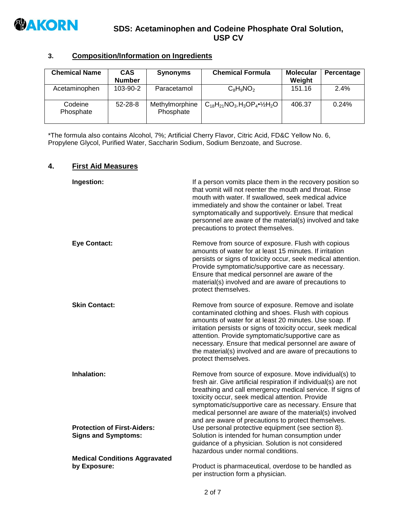

# **3. Composition/Information on Ingredients**

| <b>Chemical Name</b> | <b>CAS</b><br><b>Number</b> | <b>Synonyms</b>             | <b>Chemical Formula</b>                    | <b>Molecular</b><br>Weight | Percentage |
|----------------------|-----------------------------|-----------------------------|--------------------------------------------|----------------------------|------------|
| Acetaminophen        | $103 - 90 - 2$              | Paracetamol                 | $C_8H_9NO_2$                               | 151.16                     | 2.4%       |
| Codeine<br>Phosphate | $52 - 28 - 8$               | Methylmorphine<br>Phosphate | $C_{18}H_{21}NO_3.H_3OP_4^{\bullet}\%H_2O$ | 406.37                     | 0.24%      |

\*The formula also contains Alcohol, 7%; Artificial Cherry Flavor, Citric Acid, FD&C Yellow No. 6, Propylene Glycol, Purified Water, Saccharin Sodium, Sodium Benzoate, and Sucrose.

#### **4. First Aid Measures**

| Ingestion:                                                       | If a person vomits place them in the recovery position so<br>that vomit will not reenter the mouth and throat. Rinse<br>mouth with water. If swallowed, seek medical advice<br>immediately and show the container or label. Treat<br>symptomatically and supportively. Ensure that medical<br>personnel are aware of the material(s) involved and take<br>precautions to protect themselves.                                         |
|------------------------------------------------------------------|--------------------------------------------------------------------------------------------------------------------------------------------------------------------------------------------------------------------------------------------------------------------------------------------------------------------------------------------------------------------------------------------------------------------------------------|
| <b>Eye Contact:</b>                                              | Remove from source of exposure. Flush with copious<br>amounts of water for at least 15 minutes. If irritation<br>persists or signs of toxicity occur, seek medical attention.<br>Provide symptomatic/supportive care as necessary.<br>Ensure that medical personnel are aware of the<br>material(s) involved and are aware of precautions to<br>protect themselves.                                                                  |
| <b>Skin Contact:</b>                                             | Remove from source of exposure. Remove and isolate<br>contaminated clothing and shoes. Flush with copious<br>amounts of water for at least 20 minutes. Use soap. If<br>irritation persists or signs of toxicity occur, seek medical<br>attention. Provide symptomatic/supportive care as<br>necessary. Ensure that medical personnel are aware of<br>the material(s) involved and are aware of precautions to<br>protect themselves. |
| Inhalation:                                                      | Remove from source of exposure. Move individual(s) to<br>fresh air. Give artificial respiration if individual(s) are not<br>breathing and call emergency medical service. If signs of<br>toxicity occur, seek medical attention. Provide<br>symptomatic/supportive care as necessary. Ensure that<br>medical personnel are aware of the material(s) involved<br>and are aware of precautions to protect themselves.                  |
| <b>Protection of First-Aiders:</b><br><b>Signs and Symptoms:</b> | Use personal protective equipment (see section 8).<br>Solution is intended for human consumption under<br>guidance of a physician. Solution is not considered<br>hazardous under normal conditions.                                                                                                                                                                                                                                  |
| <b>Medical Conditions Aggravated</b><br>by Exposure:             | Product is pharmaceutical, overdose to be handled as                                                                                                                                                                                                                                                                                                                                                                                 |
|                                                                  | per instruction form a physician.                                                                                                                                                                                                                                                                                                                                                                                                    |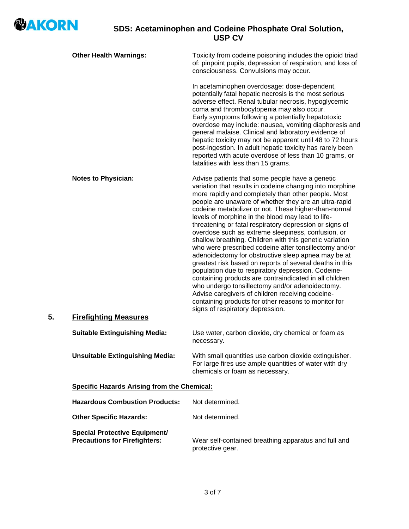

|    | <b>Other Health Warnings:</b>                                                | Toxicity from codeine poisoning includes the opioid triad<br>of: pinpoint pupils, depression of respiration, and loss of<br>consciousness. Convulsions may occur.                                                                                                                                                                                                                                                                                                                                                                                                                                                                                                                                                                                                                                                                                                                                                                                                                 |
|----|------------------------------------------------------------------------------|-----------------------------------------------------------------------------------------------------------------------------------------------------------------------------------------------------------------------------------------------------------------------------------------------------------------------------------------------------------------------------------------------------------------------------------------------------------------------------------------------------------------------------------------------------------------------------------------------------------------------------------------------------------------------------------------------------------------------------------------------------------------------------------------------------------------------------------------------------------------------------------------------------------------------------------------------------------------------------------|
|    |                                                                              | In acetaminophen overdosage: dose-dependent,<br>potentially fatal hepatic necrosis is the most serious<br>adverse effect. Renal tubular necrosis, hypoglycemic<br>coma and thrombocytopenia may also occur.<br>Early symptoms following a potentially hepatotoxic<br>overdose may include: nausea, vomiting diaphoresis and<br>general malaise. Clinical and laboratory evidence of<br>hepatic toxicity may not be apparent until 48 to 72 hours<br>post-ingestion. In adult hepatic toxicity has rarely been<br>reported with acute overdose of less than 10 grams, or<br>fatalities with less than 15 grams.                                                                                                                                                                                                                                                                                                                                                                    |
|    | <b>Notes to Physician:</b>                                                   | Advise patients that some people have a genetic<br>variation that results in codeine changing into morphine<br>more rapidly and completely than other people. Most<br>people are unaware of whether they are an ultra-rapid<br>codeine metabolizer or not. These higher-than-normal<br>levels of morphine in the blood may lead to life-<br>threatening or fatal respiratory depression or signs of<br>overdose such as extreme sleepiness, confusion, or<br>shallow breathing. Children with this genetic variation<br>who were prescribed codeine after tonsillectomy and/or<br>adenoidectomy for obstructive sleep apnea may be at<br>greatest risk based on reports of several deaths in this<br>population due to respiratory depression. Codeine-<br>containing products are contraindicated in all children<br>who undergo tonsillectomy and/or adenoidectomy.<br>Advise caregivers of children receiving codeine-<br>containing products for other reasons to monitor for |
| 5. | <b>Firefighting Measures</b>                                                 | signs of respiratory depression.                                                                                                                                                                                                                                                                                                                                                                                                                                                                                                                                                                                                                                                                                                                                                                                                                                                                                                                                                  |
|    | <b>Suitable Extinguishing Media:</b>                                         | Use water, carbon dioxide, dry chemical or foam as<br>necessary.                                                                                                                                                                                                                                                                                                                                                                                                                                                                                                                                                                                                                                                                                                                                                                                                                                                                                                                  |
|    | <b>Unsuitable Extinguishing Media:</b>                                       | With small quantities use carbon dioxide extinguisher.<br>For large fires use ample quantities of water with dry<br>chemicals or foam as necessary.                                                                                                                                                                                                                                                                                                                                                                                                                                                                                                                                                                                                                                                                                                                                                                                                                               |
|    | <b>Specific Hazards Arising from the Chemical:</b>                           |                                                                                                                                                                                                                                                                                                                                                                                                                                                                                                                                                                                                                                                                                                                                                                                                                                                                                                                                                                                   |
|    | <b>Hazardous Combustion Products:</b>                                        | Not determined.                                                                                                                                                                                                                                                                                                                                                                                                                                                                                                                                                                                                                                                                                                                                                                                                                                                                                                                                                                   |
|    | <b>Other Specific Hazards:</b>                                               | Not determined.                                                                                                                                                                                                                                                                                                                                                                                                                                                                                                                                                                                                                                                                                                                                                                                                                                                                                                                                                                   |
|    | <b>Special Protective Equipment/</b><br><b>Precautions for Firefighters:</b> | Wear self-contained breathing apparatus and full and<br>protective gear.                                                                                                                                                                                                                                                                                                                                                                                                                                                                                                                                                                                                                                                                                                                                                                                                                                                                                                          |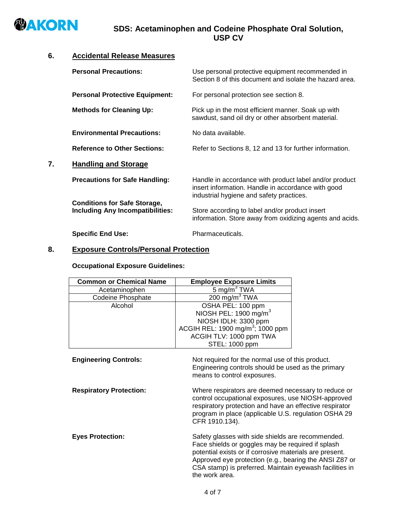

## **6. Accidental Release Measures**

|    | <b>Personal Precautions:</b>                                                   | Use personal protective equipment recommended in<br>Section 8 of this document and isolate the hazard area.                                              |
|----|--------------------------------------------------------------------------------|----------------------------------------------------------------------------------------------------------------------------------------------------------|
|    | <b>Personal Protective Equipment:</b>                                          | For personal protection see section 8.                                                                                                                   |
|    | <b>Methods for Cleaning Up:</b>                                                | Pick up in the most efficient manner. Soak up with<br>sawdust, sand oil dry or other absorbent material.                                                 |
|    | <b>Environmental Precautions:</b>                                              | No data available.                                                                                                                                       |
|    | <b>Reference to Other Sections:</b>                                            | Refer to Sections 8, 12 and 13 for further information.                                                                                                  |
| 7. | <b>Handling and Storage</b>                                                    |                                                                                                                                                          |
|    | <b>Precautions for Safe Handling:</b>                                          | Handle in accordance with product label and/or product<br>insert information. Handle in accordance with good<br>industrial hygiene and safety practices. |
|    | <b>Conditions for Safe Storage,</b><br><b>Including Any Incompatibilities:</b> | Store according to label and/or product insert<br>information. Store away from oxidizing agents and acids.                                               |
|    | <b>Specific End Use:</b>                                                       | Pharmaceuticals.                                                                                                                                         |

## **8. Exposure Controls/Personal Protection**

## **Occupational Exposure Guidelines:**

| <b>Common or Chemical Name</b> | <b>Employee Exposure Limits</b>                                                                                                                                                                                                                                                                          |  |
|--------------------------------|----------------------------------------------------------------------------------------------------------------------------------------------------------------------------------------------------------------------------------------------------------------------------------------------------------|--|
| Acetaminophen                  | $5 \overline{\mathrm{mg/m}^3}$ TWA                                                                                                                                                                                                                                                                       |  |
| <b>Codeine Phosphate</b>       | $200 \text{ mg/m}^3$ TWA                                                                                                                                                                                                                                                                                 |  |
| Alcohol                        | OSHA PEL: 100 ppm                                                                                                                                                                                                                                                                                        |  |
|                                | NIOSH PEL: 1900 mg/m $3$                                                                                                                                                                                                                                                                                 |  |
|                                | NIOSH IDLH: 3300 ppm                                                                                                                                                                                                                                                                                     |  |
|                                | ACGIH REL: 1900 mg/m <sup>3</sup> ; 1000 ppm                                                                                                                                                                                                                                                             |  |
|                                | ACGIH TLV: 1000 ppm TWA                                                                                                                                                                                                                                                                                  |  |
|                                | STEL: 1000 ppm                                                                                                                                                                                                                                                                                           |  |
| <b>Engineering Controls:</b>   | Not required for the normal use of this product.<br>Engineering controls should be used as the primary<br>means to control exposures.                                                                                                                                                                    |  |
| <b>Respiratory Protection:</b> | Where respirators are deemed necessary to reduce or<br>control occupational exposures, use NIOSH-approved<br>respiratory protection and have an effective respirator<br>program in place (applicable U.S. regulation OSHA 29<br>CFR 1910.134).                                                           |  |
| <b>Eyes Protection:</b>        | Safety glasses with side shields are recommended.<br>Face shields or goggles may be required if splash<br>potential exists or if corrosive materials are present.<br>Approved eye protection (e.g., bearing the ANSI Z87 or<br>CSA stamp) is preferred. Maintain eyewash facilities in<br>the work area. |  |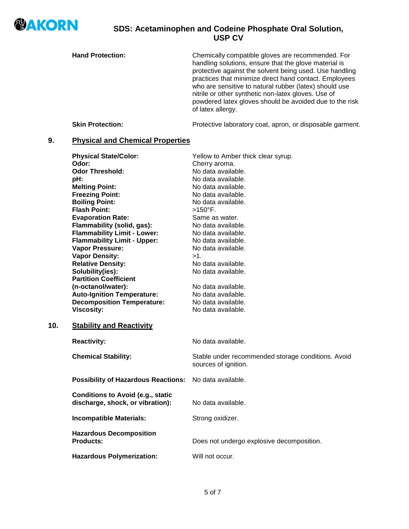

**10.** 

## **SDS: Acetaminophen and Codeine Phosphate Oral Solution, USP CV**

**Hand Protection:** Chemically compatible gloves are recommended. For handling solutions, ensure that the glove material is protective against the solvent being used. Use handling practices that minimize direct hand contact. Employees who are sensitive to natural rubber (latex) should use nitrile or other synthetic non-latex gloves. Use of powdered latex gloves should be avoided due to the risk of latex allergy.

**Skin Protection:** Protective laboratory coat, apron, or disposable garment.

## **9. Physical and Chemical Properties**

| <b>Physical State/Color:</b><br>Odor:<br><b>Odor Threshold:</b><br>pH:<br><b>Melting Point:</b><br><b>Freezing Point:</b><br><b>Boiling Point:</b><br><b>Flash Point:</b><br><b>Evaporation Rate:</b><br>Flammability (solid, gas):<br><b>Flammability Limit - Lower:</b><br><b>Flammability Limit - Upper:</b><br>Vapor Pressure:<br><b>Vapor Density:</b><br><b>Relative Density:</b><br>Solubility(ies): | Yellow to Amber thick clear syrup.<br>Cherry aroma.<br>No data available.<br>No data available.<br>No data available.<br>No data available.<br>No data available.<br>$>150^{\circ}$ F.<br>Same as water.<br>No data available.<br>No data available.<br>No data available.<br>No data available.<br>$>1$ .<br>No data available.<br>No data available. |
|-------------------------------------------------------------------------------------------------------------------------------------------------------------------------------------------------------------------------------------------------------------------------------------------------------------------------------------------------------------------------------------------------------------|--------------------------------------------------------------------------------------------------------------------------------------------------------------------------------------------------------------------------------------------------------------------------------------------------------------------------------------------------------|
| <b>Partition Coefficient</b><br>(n-octanol/water):<br><b>Auto-Ignition Temperature:</b><br><b>Decomposition Temperature:</b><br><b>Viscosity:</b>                                                                                                                                                                                                                                                           | No data available.<br>No data available.<br>No data available.<br>No data available.                                                                                                                                                                                                                                                                   |
| <b>Stability and Reactivity</b>                                                                                                                                                                                                                                                                                                                                                                             |                                                                                                                                                                                                                                                                                                                                                        |
| <b>Reactivity:</b>                                                                                                                                                                                                                                                                                                                                                                                          | No data available.                                                                                                                                                                                                                                                                                                                                     |
| <b>Chemical Stability:</b>                                                                                                                                                                                                                                                                                                                                                                                  | Stable under recommended storage conditions. Avoid<br>sources of ignition.                                                                                                                                                                                                                                                                             |
| <b>Possibility of Hazardous Reactions:</b>                                                                                                                                                                                                                                                                                                                                                                  | No data available.                                                                                                                                                                                                                                                                                                                                     |
| <b>Conditions to Avoid (e.g., static</b><br>discharge, shock, or vibration):                                                                                                                                                                                                                                                                                                                                | No data available.                                                                                                                                                                                                                                                                                                                                     |
| <b>Incompatible Materials:</b>                                                                                                                                                                                                                                                                                                                                                                              | Strong oxidizer.                                                                                                                                                                                                                                                                                                                                       |
| <b>Hazardous Decomposition</b><br><b>Products:</b>                                                                                                                                                                                                                                                                                                                                                          | Does not undergo explosive decomposition.                                                                                                                                                                                                                                                                                                              |
| <b>Hazardous Polymerization:</b>                                                                                                                                                                                                                                                                                                                                                                            | Will not occur.                                                                                                                                                                                                                                                                                                                                        |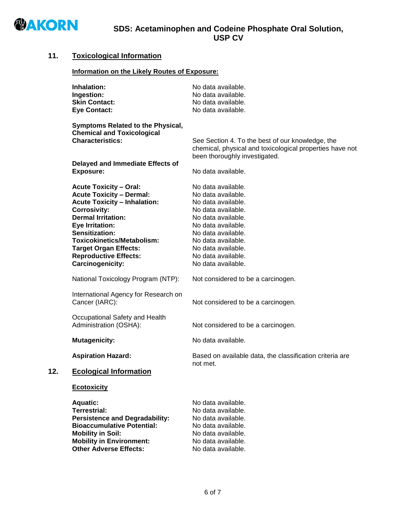

## **11. Toxicological Information**

#### **Information on the Likely Routes of Exposure:**

|     | Inhalation:<br>Ingestion:<br><b>Skin Contact:</b><br><b>Eye Contact:</b>                                                                                                                                                                                                                                                  | No data available.<br>No data available.<br>No data available.<br>No data available.                                                                                                                                                           |
|-----|---------------------------------------------------------------------------------------------------------------------------------------------------------------------------------------------------------------------------------------------------------------------------------------------------------------------------|------------------------------------------------------------------------------------------------------------------------------------------------------------------------------------------------------------------------------------------------|
|     | Symptoms Related to the Physical,<br><b>Chemical and Toxicological</b><br><b>Characteristics:</b><br>Delayed and Immediate Effects of<br><b>Exposure:</b>                                                                                                                                                                 | See Section 4. To the best of our knowledge, the<br>chemical, physical and toxicological properties have not<br>been thoroughly investigated.<br>No data available.                                                                            |
|     | <b>Acute Toxicity - Oral:</b><br><b>Acute Toxicity - Dermal:</b><br><b>Acute Toxicity - Inhalation:</b><br><b>Corrosivity:</b><br><b>Dermal Irritation:</b><br>Eye Irritation:<br>Sensitization:<br><b>Toxicokinetics/Metabolism:</b><br><b>Target Organ Effects:</b><br><b>Reproductive Effects:</b><br>Carcinogenicity: | No data available.<br>No data available.<br>No data available.<br>No data available.<br>No data available.<br>No data available.<br>No data available.<br>No data available.<br>No data available.<br>No data available.<br>No data available. |
|     | National Toxicology Program (NTP):                                                                                                                                                                                                                                                                                        | Not considered to be a carcinogen.                                                                                                                                                                                                             |
|     | International Agency for Research on<br>Cancer (IARC):                                                                                                                                                                                                                                                                    | Not considered to be a carcinogen.                                                                                                                                                                                                             |
|     | Occupational Safety and Health<br>Administration (OSHA):                                                                                                                                                                                                                                                                  | Not considered to be a carcinogen.                                                                                                                                                                                                             |
|     | <b>Mutagenicity:</b>                                                                                                                                                                                                                                                                                                      | No data available.                                                                                                                                                                                                                             |
|     | <b>Aspiration Hazard:</b>                                                                                                                                                                                                                                                                                                 | Based on available data, the classification criteria are<br>not met.                                                                                                                                                                           |
| 12. | <b>Ecological Information</b>                                                                                                                                                                                                                                                                                             |                                                                                                                                                                                                                                                |
|     | <b>Ecotoxicity</b>                                                                                                                                                                                                                                                                                                        |                                                                                                                                                                                                                                                |
|     | <b>Aquatic:</b><br><b>Terrestrial:</b><br><b>Persistence and Degradability:</b><br><b>Bioaccumulative Potential:</b><br><b>Mobility in Soil:</b><br><b>Mobility in Environment:</b><br><b>Other Adverse Effects:</b>                                                                                                      | No data available.<br>No data available.<br>No data available.<br>No data available.<br>No data available.<br>No data available.<br>No data available.                                                                                         |